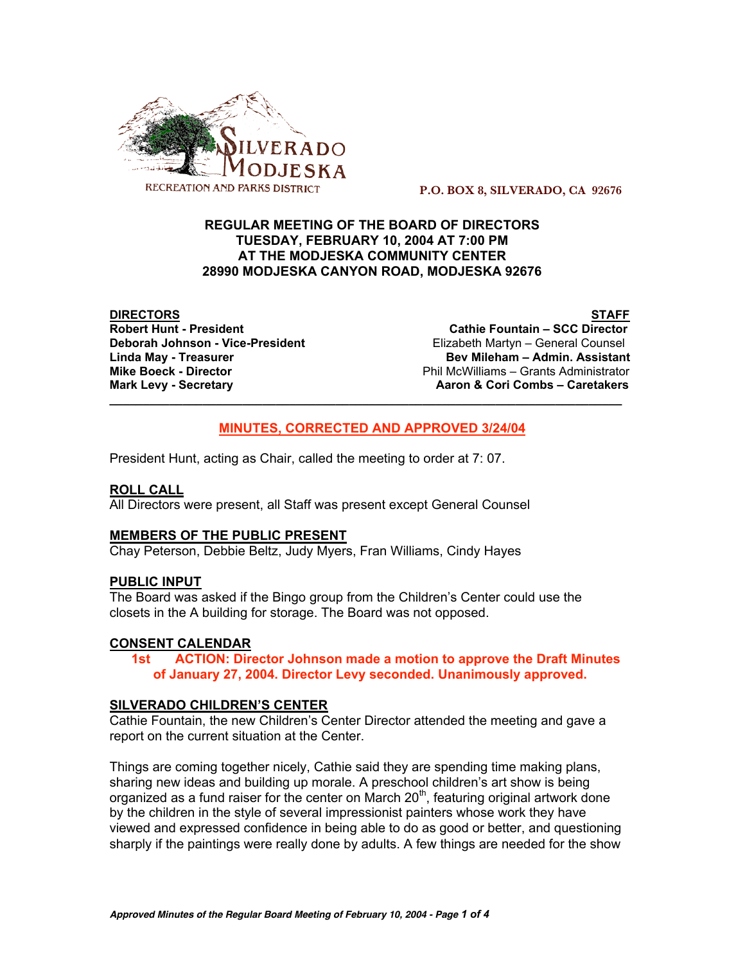

 **P.O. BOX 8, SILVERADO, CA 92676**

#### **REGULAR MEETING OF THE BOARD OF DIRECTORS TUESDAY, FEBRUARY 10, 2004 AT 7:00 PM AT THE MODJESKA COMMUNITY CENTER 28990 MODJESKA CANYON ROAD, MODJESKA 92676**

**DIRECTORS STAFF Deborah Johnson - Vice-President** Elizabeth Martyn – General Counsel

**Cathie Fountain – SCC Director** 

**Linda May - Treasurer Bev Mileham – Admin. Assistant Mike Boeck - Director Phil McWilliams – Grants Administrator** Phil McWilliams – Grants Administrator **Mark Levy - Secretary Combs – Caretakers** Aaron & Cori Combs – Caretakers

# **MINUTES, CORRECTED AND APPROVED 3/24/04**

**\_\_\_\_\_\_\_\_\_\_\_\_\_\_\_\_\_\_\_\_\_\_\_\_\_\_\_\_\_\_\_\_\_\_\_\_\_\_\_\_\_\_\_\_\_\_\_\_\_\_\_\_\_\_\_\_\_\_\_\_\_\_\_\_\_\_\_\_\_\_\_\_\_\_\_\_\_**

President Hunt, acting as Chair, called the meeting to order at 7: 07.

## **ROLL CALL**

All Directors were present, all Staff was present except General Counsel

# **MEMBERS OF THE PUBLIC PRESENT**

Chay Peterson, Debbie Beltz, Judy Myers, Fran Williams, Cindy Hayes

#### **PUBLIC INPUT**

The Board was asked if the Bingo group from the Children's Center could use the closets in the A building for storage. The Board was not opposed.

#### **CONSENT CALENDAR**

**1st ACTION: Director Johnson made a motion to approve the Draft Minutes of January 27, 2004. Director Levy seconded. Unanimously approved.**

# **SILVERADO CHILDREN'S CENTER**

Cathie Fountain, the new Children's Center Director attended the meeting and gave a report on the current situation at the Center.

Things are coming together nicely, Cathie said they are spending time making plans, sharing new ideas and building up morale. A preschool children's art show is being organized as a fund raiser for the center on March  $20<sup>th</sup>$ , featuring original artwork done by the children in the style of several impressionist painters whose work they have viewed and expressed confidence in being able to do as good or better, and questioning sharply if the paintings were really done by adults. A few things are needed for the show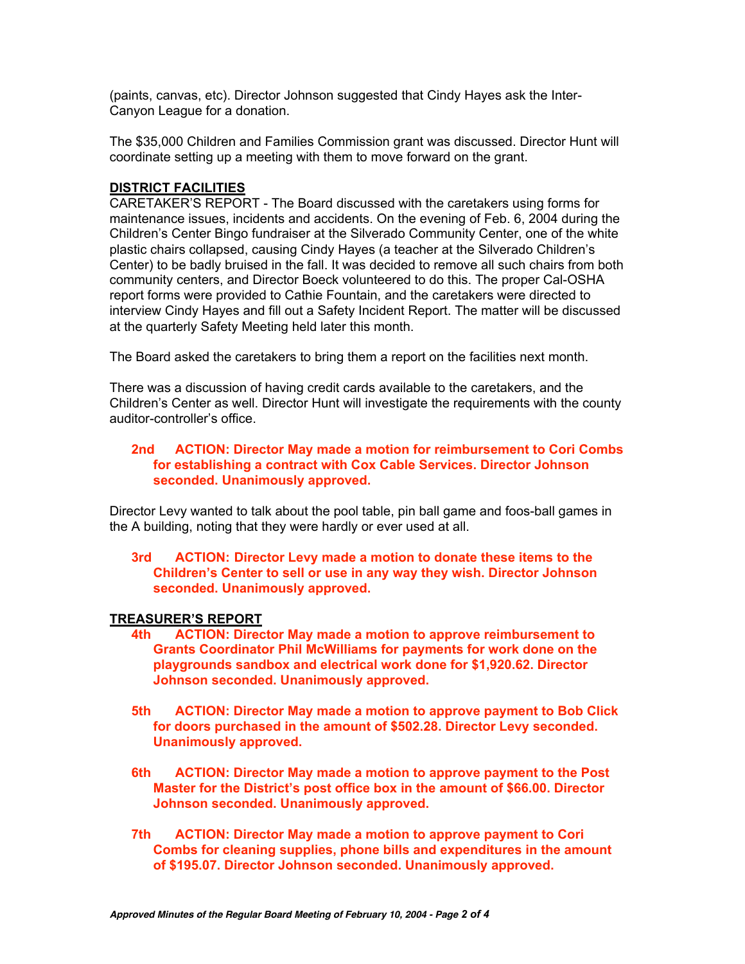(paints, canvas, etc). Director Johnson suggested that Cindy Hayes ask the Inter-Canyon League for a donation.

The \$35,000 Children and Families Commission grant was discussed. Director Hunt will coordinate setting up a meeting with them to move forward on the grant.

#### **DISTRICT FACILITIES**

CARETAKER'S REPORT - The Board discussed with the caretakers using forms for maintenance issues, incidents and accidents. On the evening of Feb. 6, 2004 during the Children's Center Bingo fundraiser at the Silverado Community Center, one of the white plastic chairs collapsed, causing Cindy Hayes (a teacher at the Silverado Children's Center) to be badly bruised in the fall. It was decided to remove all such chairs from both community centers, and Director Boeck volunteered to do this. The proper Cal-OSHA report forms were provided to Cathie Fountain, and the caretakers were directed to interview Cindy Hayes and fill out a Safety Incident Report. The matter will be discussed at the quarterly Safety Meeting held later this month.

The Board asked the caretakers to bring them a report on the facilities next month.

There was a discussion of having credit cards available to the caretakers, and the Children's Center as well. Director Hunt will investigate the requirements with the county auditor-controller's office.

## **2nd ACTION: Director May made a motion for reimbursement to Cori Combs for establishing a contract with Cox Cable Services. Director Johnson seconded. Unanimously approved.**

Director Levy wanted to talk about the pool table, pin ball game and foos-ball games in the A building, noting that they were hardly or ever used at all.

#### **3rd ACTION: Director Levy made a motion to donate these items to the Children's Center to sell or use in any way they wish. Director Johnson seconded. Unanimously approved.**

#### **TREASURER'S REPORT**

- **4th ACTION: Director May made a motion to approve reimbursement to Grants Coordinator Phil McWilliams for payments for work done on the playgrounds sandbox and electrical work done for \$1,920.62. Director Johnson seconded. Unanimously approved.**
- **5th ACTION: Director May made a motion to approve payment to Bob Click for doors purchased in the amount of \$502.28. Director Levy seconded. Unanimously approved.**
- **6th ACTION: Director May made a motion to approve payment to the Post Master for the District's post office box in the amount of \$66.00. Director Johnson seconded. Unanimously approved.**
- **7th ACTION: Director May made a motion to approve payment to Cori Combs for cleaning supplies, phone bills and expenditures in the amount of \$195.07. Director Johnson seconded. Unanimously approved.**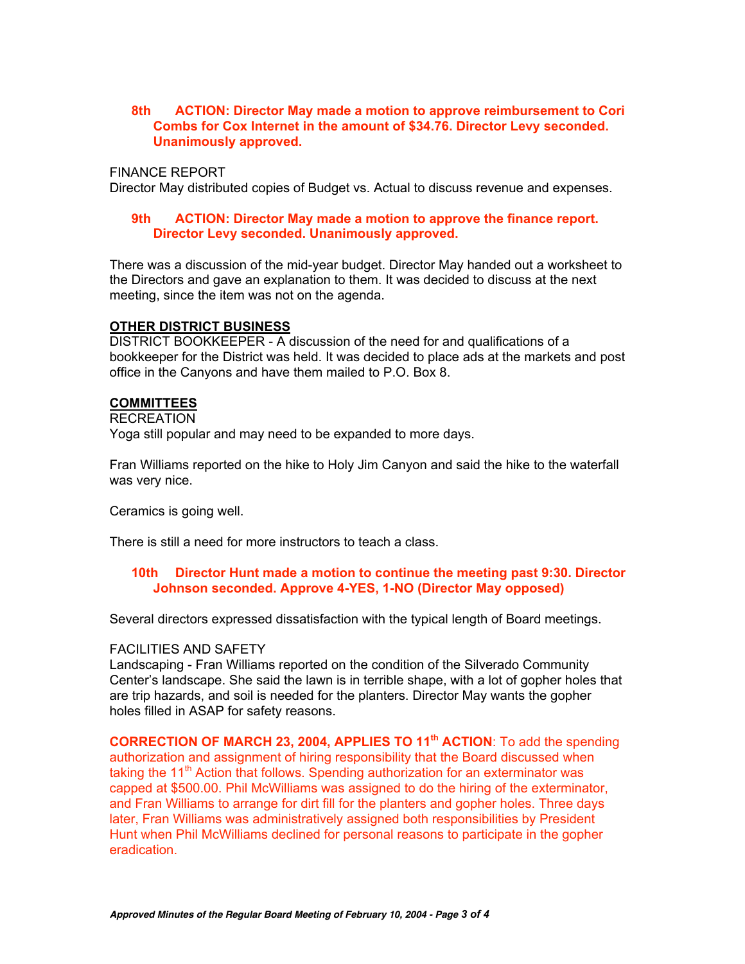#### **8th ACTION: Director May made a motion to approve reimbursement to Cori Combs for Cox Internet in the amount of \$34.76. Director Levy seconded. Unanimously approved.**

FINANCE REPORT

Director May distributed copies of Budget vs. Actual to discuss revenue and expenses.

#### **9th ACTION: Director May made a motion to approve the finance report. Director Levy seconded. Unanimously approved.**

There was a discussion of the mid-year budget. Director May handed out a worksheet to the Directors and gave an explanation to them. It was decided to discuss at the next meeting, since the item was not on the agenda.

#### **OTHER DISTRICT BUSINESS**

DISTRICT BOOKKEEPER - A discussion of the need for and qualifications of a bookkeeper for the District was held. It was decided to place ads at the markets and post office in the Canyons and have them mailed to P.O. Box 8.

#### **COMMITTEES**

#### **RECREATION**

Yoga still popular and may need to be expanded to more days.

Fran Williams reported on the hike to Holy Jim Canyon and said the hike to the waterfall was very nice.

Ceramics is going well.

There is still a need for more instructors to teach a class.

#### **10th Director Hunt made a motion to continue the meeting past 9:30. Director Johnson seconded. Approve 4-YES, 1-NO (Director May opposed)**

Several directors expressed dissatisfaction with the typical length of Board meetings.

#### FACILITIES AND SAFETY

Landscaping - Fran Williams reported on the condition of the Silverado Community Center's landscape. She said the lawn is in terrible shape, with a lot of gopher holes that are trip hazards, and soil is needed for the planters. Director May wants the gopher holes filled in ASAP for safety reasons.

**CORRECTION OF MARCH 23, 2004, APPLIES TO 11<sup>th</sup> ACTION:** To add the spending authorization and assignment of hiring responsibility that the Board discussed when taking the 11<sup>th</sup> Action that follows. Spending authorization for an exterminator was capped at \$500.00. Phil McWilliams was assigned to do the hiring of the exterminator, and Fran Williams to arrange for dirt fill for the planters and gopher holes. Three days later, Fran Williams was administratively assigned both responsibilities by President Hunt when Phil McWilliams declined for personal reasons to participate in the gopher eradication.